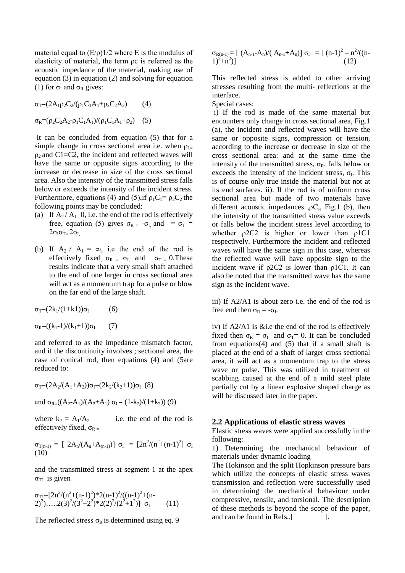material equal to  $(E/\rho)$ 1/2 where E is the modulus of elasticity of material, the term ρc is referred as the acoustic impedance of the material, making use of equation (3) in equation (2) and solving for equation (1) for  $\sigma_{I}$  and  $\sigma_{R}$  gives:

$$
\sigma_{\rm T} = (2A_1 \rho_2 C_2 / (\rho_1 C_1 A_1 + \rho_2 C_2 A_2) \tag{4}
$$
  

$$
\sigma_{\rm R} = (\rho_2 C_2 A_2 - \rho_1 C_1 A_1) / (\rho_1 C_1 A_1 + \rho_2) \tag{5}
$$

It can be concluded from equation (5) that for a simple change in cross sectional area i.e. when  $\rho_{1-}$  $\rho_2$  and C1=C2, the incident and reflected waves will have the same or opposite signs according to the increase or decrease in size of the cross sectional area. Also the intensity of the transmitted stress falls below or exceeds the intensity of the incident stress. Furthermore, equations (4) and (5), if  $\rho_1C_1 = \rho_2C_2$  the following points may be concluded:

- (a) If  $A_2 / A_{1} = 0$ , i.e. the end of the rod is effectively free, equation (5) gives  $\sigma_{R} = -\sigma_{I}$  and =  $\sigma_{T}$  =  $2\sigma_{I}\sigma_{T} = 2\sigma_{I}$
- (b) If  $A_2 / A_1 = \infty$ , i.e the end of the rod is effectively fixed,  $\sigma_{R} = \sigma_{I}$ , and  $\sigma_{T} = 0$ . These results indicate that a very small shaft attached to the end of one larger in cross sectional area will act as a momentum trap for a pulse or blow on the far end of the large shaft.

$$
\sigma_T=(2k_1/(1{+}k1))\sigma_I \qquad \quad (6)
$$

 $σ_R=((k_1-1)/(k_1+1))σ_I$  (7)

and referred to as the impedance mismatch factor, and if the discontinuity involves ; sectional area, the case of conical rod, then equations (4) and (5are reduced to:

$$
\sigma_T = (2A_2/(A_1+A_2))\sigma_I = (2k_2/(k_2+1))\sigma_I
$$
 (8)

and 
$$
\sigma_{R} = ((A_2 - A_1)/(A_2 + A_1) \sigma_I = (1 - k_2)/(1 + k_2))
$$
 (9)

where  $k_2 = A_1/A_2$  i.e. the end of the rod is effectively fixed,  $\sigma_{R}$ 

σ<sub>T(n-1)</sub> = [ 2A<sub>n</sub>/(A<sub>n</sub>+A<sub>(n-1)</sub>)] σ<sub>I</sub> = [2n<sup>2</sup>/(n<sup>2</sup>+(n-1)<sup>2</sup>] σ<sub>I</sub> (10)

and the transmitted stress at segment 1 at the apex  $\sigma_{T1}$  is given

$$
\sigma_{Tl}\text{=}[2n^2/(n^2+(n-1)^2)^*2(n-1)^2/((n-1)^2+(n-2)^2)\dots(2(3)^2/(2^2+2^2)^*2(2)^2/(2^2+1^2)]\sigma_I
$$
 (11)

The reflected stress  $\sigma_R$  is determined using eq. 9

$$
\sigma_{R(n-1)} = [ (A_{n-1}-A_n)/(A_{n-1}+A_n)] \sigma_I = [ (n-1)^2 - n^2/((n-1)^2+n^2)] \qquad (12)
$$

This reflected stress is added to other arriving stresses resulting from the multi- reflections at the interface.

Special cases:

i) If the rod is made of the same material but encounters only change in cross sectional area, Fig.1 (a), the incident and reflected waves will have the same or opposite signs, compression or tension, according to the increase or decrease in size of the cross sectional area: and at the same time the intensity of the transmitted stress,  $\sigma_R$ , falls below or exceeds the intensity of the incident stress,  $\sigma_{I}$ . This is of course only true inside the material but not at its end surfaces. ii). If the rod is of uniform cross sectional area but made of two materials have different acoustic impedances  $, \rho C,$ , Fig.1 (b), then the intensity of the transmitted stress value exceeds or falls below the incident stress level according to whether *ρ*2C2 is higher or lower than *ρ*1C1 respectively. Furthermore the incident and reflected waves will have the same sign in this case, whereas the reflected wave will have opposite sign to the incident wave if  $\rho$ 2C2 is lower than  $\rho$ 1C1. It can also be noted that the transmitted wave has the same sign as the incident wave.

iii) If A2/A1 is about zero i.e. the end of the rod is free end then  $\sigma_R = -\sigma_I$ .

iv) If A2/A1 is &i.e the end of the rod is effectively fixed then  $\sigma_R = \sigma_I$  and  $\sigma_T = 0$ . It can be concluded from equations(4) and (5) that if a small shaft is placed at the end of a shaft of larger cross sectional area, it will act as a momentum trap to the stress wave or pulse. This was utilized in treatment of scabbing caused at the end of a mild steel plate partially cut by a linear explosive shaped charge as will be discussed later in the paper.

# **2.2 Applications of elastic stress waves**

Elastic stress waves were applied successfully in the following:

1) Determining the mechanical behaviour of materials under dynamic loading

The Hokinson and the split Hopkinson pressure bars which utilize the concepts of elastic stress waves transmission and reflection were successfully used in determining the mechanical behaviour under compressive, tensile, and torsional. The description of these methods is beyond the scope of the paper, and can be found in Refs., [1.1].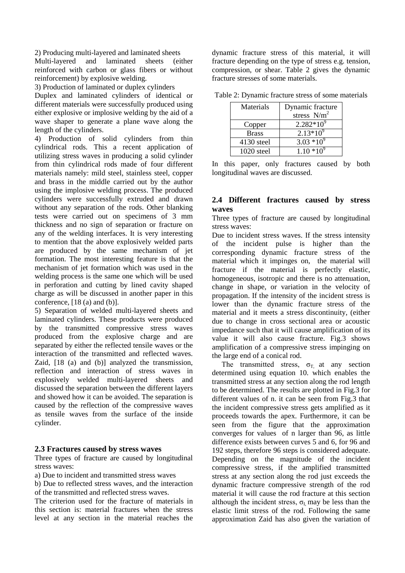2) Producing multi-layered and laminated sheets

Multi-layered and laminated sheets (either reinforced with carbon or glass fibers or without reinforcement) by explosive welding.

3) Production of laminated or duplex cylinders

Duplex and laminated cylinders of identical or different materials were successfully produced using either explosive or implosive welding by the aid of a wave shaper to generate a plane wave along the length of the cylinders.

4) Production of solid cylinders from thin cylindrical rods. This a recent application of utilizing stress waves in producing a solid cylinder from thin cylindrical rods made of four different materials namely: mild steel, stainless steel, copper and brass in the middle carried out by the author using the implosive welding process. The produced cylinders were successfully extruded and drawn without any separation of the rods. Other blanking tests were carried out on specimens of 3 mm thickness and no sign of separation or fracture on any of the welding interfaces. It is very interesting to mention that the above explosively welded parts are produced by the same mechanism of jet formation. The most interesting feature is that the mechanism of jet formation which was used in the welding process is the same one which will be used in perforation and cutting by lined cavity shaped charge as will be discussed in another paper in this conference, [18 (a) and (b)].

5) Separation of welded multi-layered sheets and laminated cylinders. These products were produced by the transmitted compressive stress waves produced from the explosive charge and are separated by either the reflected tensile waves or the interaction of the transmitted and reflected waves. Zaid, [18 (a) and (b)] analyzed the transmission, reflection and interaction of stress waves in explosively welded multi-layered sheets and discussed the separation between the different layers and showed how it can be avoided. The separation is caused by the reflection of the compressive waves as tensile waves from the surface of the inside cylinder.

### **2.3 Fractures caused by stress waves**

Three types of fracture are caused by longitudinal stress waves:

a) Due to incident and transmitted stress waves

b) Due to reflected stress waves, and the interaction of the transmitted and reflected stress waves.

The criterion used for the fracture of materials in this section is: material fractures when the stress level at any section in the material reaches the dynamic fracture stress of this material, it will fracture depending on the type of stress e.g. tension, compression, or shear. Table 2 gives the dynamic fracture stresses of some materials.

| Materials    | Dynamic fracture |
|--------------|------------------|
|              | stress $N/m^2$   |
| Copper       | $2.282*10^{9}$   |
| <b>Brass</b> | $2.13*10^{9}$    |
| 4130 steel   | $3.03*10^{9}$    |
| 1020 steel   | $1.10*10^{9}$    |

Table 2: Dynamic fracture stress of some materials

In this paper, only fractures caused by both longitudinal waves are discussed.

### **2.4 Different fractures caused by stress waves**

Three types of fracture are caused by longitudinal stress waves:

Due to incident stress waves. If the stress intensity of the incident pulse is higher than the corresponding dynamic fracture stress of the material which it impinges on, the material will fracture if the material is perfectly elastic, homogeneous, isotropic and there is no attenuation, change in shape, or variation in the velocity of propagation. If the intensity of the incident stress is lower than the dynamic fracture stress of the material and it meets a stress discontinuity, (either due to change in cross sectional area or acoustic impedance such that it will cause amplification of its value it will also cause fracture. Fig.3 shows amplification of a compressive stress impinging on the large end of a conical rod.

The transmitted stress,  $\sigma_T$  at any section determined using equation 10. which enables the transmitted stress at any section along the rod length to be determined. The results are plotted in Fig.3 for different values of n. it can be seen from Fig.3 that the incident compressive stress gets amplified as it proceeds towards the apex. Furthermore, it can be seen from the figure that the approximation converges for values of n larger than 96, as little difference exists between curves 5 and 6, for 96 and 192 steps, therefore 96 steps is considered adequate. Depending on the magnitude of the incident compressive stress, if the amplified transmitted stress at any section along the rod just exceeds the dynamic fracture compressive strength of the rod material it will cause the rod fracture at this section although the incident stress,  $\sigma_{I}$  may be less than the elastic limit stress of the rod. Following the same approximation Zaid has also given the variation of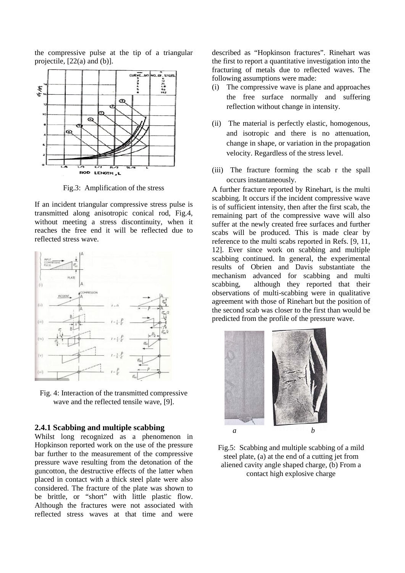the compressive pulse at the tip of a triangular projectile, [22(a) and (b)].



Fig.3: Amplification of the stress

If an incident triangular compressive stress pulse is transmitted along anisotropic conical rod, Fig.4, without meeting a stress discontinuity, when it reaches the free end it will be reflected due to reflected stress wave.



Fig. 4: Interaction of the transmitted compressive wave and the reflected tensile wave, [9].

### **2.4.1 Scabbing and multiple scabbing**

Whilst long recognized as a phenomenon in Hopkinson reported work on the use of the pressure bar further to the measurement of the compressive pressure wave resulting from the detonation of the guncotton, the destructive effects of the latter when placed in contact with a thick steel plate were also considered. The fracture of the plate was shown to be brittle, or "short" with little plastic flow. Although the fractures were not associated with reflected stress waves at that time and were described as "Hopkinson fractures". Rinehart was the first to report a quantitative investigation into the fracturing of metals due to reflected waves. The following assumptions were made:

- (i) The compressive wave is plane and approaches the free surface normally and suffering reflection without change in intensity.
- (ii) The material is perfectly elastic, homogenous, and isotropic and there is no attenuation, change in shape, or variation in the propagation velocity. Regardless of the stress level.
- (iii) The fracture forming the scab r the spall occurs instantaneously.

A further fracture reported by Rinehart, is the multi scabbing. It occurs if the incident compressive wave is of sufficient intensity, then after the first scab, the remaining part of the compressive wave will also suffer at the newly created free surfaces and further scabs will be produced. This is made clear by reference to the multi scabs reported in Refs. [9, 11, 12]. Ever since work on scabbing and multiple scabbing continued. In general, the experimental results of Obrien and Davis substantiate the mechanism advanced for scabbing and multi scabbing, although they reported that their observations of multi-scabbing were in qualitative agreement with those of Rinehart but the position of the second scab was closer to the first than would be predicted from the profile of the pressure wave.



Fig.5: Scabbing and multiple scabbing of a mild steel plate, (a) at the end of a cutting jet from aliened cavity angle shaped charge, (b) From a contact high explosive charge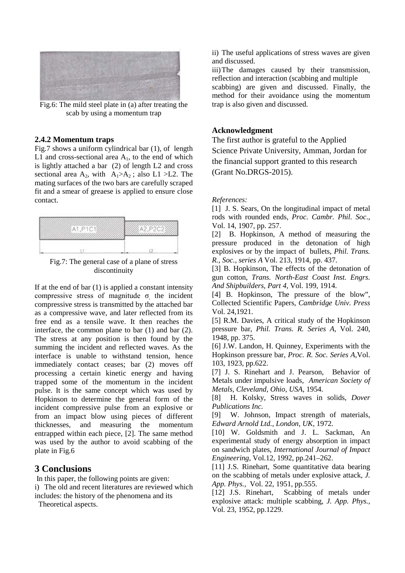

Fig.6: The mild steel plate in (a) after treating the scab by using a momentum trap

#### **2.4.2 Momentum traps**

Fig.7 shows a uniform cylindrical bar (1), of length L1 and cross-sectional area  $A<sub>1</sub>$ , to the end of which is lightly attached a bar (2) of length L2 and cross sectional area  $A_2$ , with  $A_1 > A_2$ ; also L1 > L2. The mating surfaces of the two bars are carefully scraped fit and a smear of greaese is applied to ensure close contact.



Fig.7: The general case of a plane of stress discontinuity

If at the end of bar  $(1)$  is applied a constant intensity compressive stress of magnitude  $\sigma$  the incident compressive stress is transmitted by the attached bar as a compressive wave, and later reflected from its free end as a tensile wave. It then reaches the interface, the common plane to bar (1) and bar (2). The stress at any position is then found by the summing the incident and reflected waves. As the interface is unable to withstand tension, hence immediately contact ceases; bar (2) moves off processing a certain kinetic energy and having trapped some of the momentum in the incident pulse. It is the same concept which was used by Hopkinson to determine the general form of the incident compressive pulse from an explosive or from an impact blow using pieces of different thicknesses, and measuring the momentum entrapped within each piece, [2]. The same method was used by the author to avoid scabbing of the plate in Fig.6

# **3 Conclusions**

 In this paper, the following points are given: i) The old and recent literatures are reviewed which includes: the history of the phenomena and its

Theoretical aspects.

ii) The useful applications of stress waves are given and discussed.

iii)The damages caused by their transmission, reflection and interaction (scabbing and multiple scabbing) are given and discussed. Finally, the

method for their avoidance using the momentum trap is also given and discussed.

# **Acknowledgment**

The first author is grateful to the Applied Science Private University, Amman, Jordan for the financial support granted to this research (Grant No.DRGS-2015).

#### *References:*

[1] J. S. Sears, On the longitudinal impact of metal rods with rounded ends, *Proc. Cambr. Phil. Soc*., Vol. 14, 1907, pp. 257.

[2] B. Hopkinson, A method of measuring the pressure produced in the detonation of high explosives or by the impact of bullets, *Phil. Trans. R., Soc., series A* Vol. 213, 1914, pp. 437.

[3] B. Hopkinson, The effects of the detonation of gun cotton, *Trans. North-East Coast Inst. Engrs. And Shipbuilders, Part 4,* Vol. 199, 1914.

[4] B. Hopkinson, The pressure of the blow", Collected Scientific Papers, *Cambridge Univ. Press*  Vol. 24,1921.

[5] R.M. Davies, A critical study of the Hopkinson pressure bar, *Phil. Trans. R. Series A,* Vol. 240, 1948, pp. 375.

[6] J.W. Landon, H. Quinney, Experiments with the Hopkinson pressure bar, *Proc. R. Soc. Series A,*Vol. 103, 1923, pp.622.

[7] J. S. Rinehart and J. Pearson, Behavior of Metals under impulsive loads*, American Society of Metals, Cleveland, Ohio, USA*, 1954.

[8] H. Kolsky, Stress waves in solids, *Dover Publications Inc.* 

[9] W. Johnson, Impact strength of materials, *Edward Arnold Ltd., London, UK*, 1972.

[10] W. Goldsmith and J. L. Sackman, An experimental study of energy absorption in impact on sandwich plates*, International Journal of Impact Engineering*, Vol.12, 1992, pp.241–262.

[11] J.S. Rinehart, Some quantitative data bearing on the scabbing of metals under explosive attack, *J. App. Phys.,* Vol. 22, 1951, pp.555.

[12] J.S. Rinehart, Scabbing of metals under explosive attack: multiple scabbing, *J. App. Phys.,* Vol. 23, 1952, pp.1229.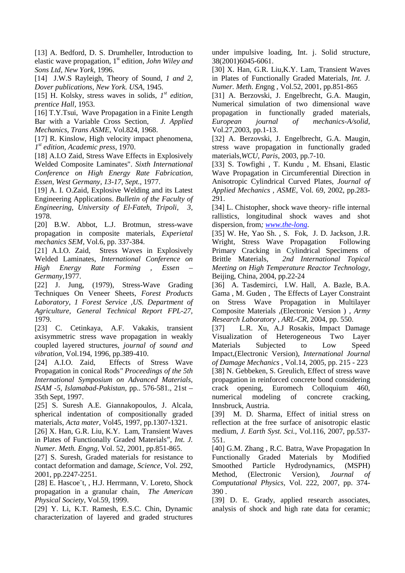[13] A. Bedford, D. S. Drumheller, Introduction to elastic wave propagation, 1st edition*, John Wiley and Sons Ltd, New York*, 1996.

[14] J.W.S Rayleigh, Theory of Sound, *1 and 2*, *Dover publications, New York. USA,* 1945.

[15] H. Kolsky, stress waves in solids, *1st edition, prentice Hall,* 1953.

[16] T.Y.Tsui, Wave Propagation in a Finite Length Bar with a Variable Cross Section*, J. Applied Mechanics, Trans ASME*, Vol.824, 1968.

[17] R. Kinslow, High velocity impact phenomena, *1st edition, Academic press*, 1970.

[18] A.I.O Zaid, Stress Wave Effects in Explosively Welded Composite Laminates". *Sixth International Conference on High Energy Rate Fabrication, Essen, West Germany, 13-17, Sept.,* 1977.

[19] A. I. O.Zaid, Explosive Welding and its Latest Engineering Applications. *Bulletin of the Faculty of Engineering, University of El-Fateh, Tripoli, 3*, 1978.

[20] B.W. Abbot, L.J. Brotmun, stress-wave propagation in composite materials, *Experietal mechanics SEM,* Vol.6, pp. 337-384.

[21] A.I.O. Zaid, Stress Waves in Explosively Welded Laminates, *International Conference on High Energy Rate Forming , Essen – Germany,*1977.

[22] J. Jung, (1979), Stress-Wave Grading Techniques On Veneer Sheets, *Forest Products Laboratory, 1 Forest Service ,US. Department of Agriculture, General Technical Report FPL-27,*  1979.

[23] C. Cetinkaya, A.F. Vakakis, transient axisymmetric stress wave propagation in weakly coupled layered structures, *journal of sound and vibration*, Vol.194, 1996, pp.389-410.

[24] A.I.O. Zaid, Effects of Stress Wave Propagation in conical Rods*" Proceedings of the 5th International Symposium on Advanced Materials, ISAM -5, Islamabad-Pakistan*, pp.. 576-581., 21st – 35th Sept, 1997.

[25] S. Suresh A.E. Giannakopoulos, J. Alcala, spherical indentation of compositionally graded materials, *Acta mater*, Vol45, 1997, pp.1307-1321.

[26] X. Han, G.R. Liu, K.Y. Lam, Transient Waves in Plates of Functionally Graded Materials", *Int. J. Numer. Meth. Engng*, Vol. 52, 2001, pp.851-865.

[27] S. Suresh, Graded materials for resistance to contact deformation and damage, *Science,* Vol. 292, 2001, pp.2247-2251.

[28] E. Hascoe¨t, , H.J. Herrmann, V. Loreto, Shock propagation in a granular chain, *The American Physical Society*, Vol.59, 1999.

[29] Y. Li, K.T. Ramesh, E.S.C. Chin, Dynamic characterization of layered and graded structures under impulsive loading, Int. j. Solid structure, 38(2001)6045-6061.

[30] X. Han, G.R. Liu,K.Y. Lam, Transient Waves in Plates of Functionally Graded Materials, *Int. J. Numer. Meth. En*gng , Vol.52, 2001, pp.851-865

[31] A. Berzovski, J. Engelbrecht, G.A. Maugin, Numerical simulation of two dimensional wave propagation in functionally graded materials, *European journal of mechanics-A/solid*, Vol.27,2003, pp.1-13.

[32] A. Berzovski, J. Engelbrecht, G.A. Maugin, stress wave propagation in functionally graded materials,*WCU, Paris*, 2003, pp.7-10.

[33] S. Towfighi , T. Kundu , M. Ehsani, Elastic Wave Propagation in Circumferential Direction in Anisotropic Cylindrical Curved Plates, *Journal of Applied Mechanics , ASME*, Vol. 69, 2002, pp.283- 291.

[34] L. Chistopher, shock wave theory- rifle internal rallistics, longitudinal shock waves and shot dispersion, from*; [www.the-long](http://www.the-long/)*.

[35] W. He, Yao Sh. , S. Fok, J. D. Jackson, J.R. Wright, Stress Wave Propagation Following Primary Cracking in Cylindrical Specimens of Brittle Materials*, 2nd International Topical Meeting on High Temperature Reactor Technology*, Beijing, China, 2004, pp.22-24

[36] A. Tasdemirci, I.W. Hall, A. Bazle, B.A. Gama , M. Guden , The Effects of Layer Constraint on Stress Wave Propagation in Multilayer Composite Materials ,(Electronic Version ) , *Army Research Laboratory , ARL-CR*, 2004, pp. 550.

[37] L.R. Xu, A.J Rosakis, Impact Damage Visualization of Heterogeneous Two Layer Materials Subjected to Low Speed Impact,(Electronic Version), *International Journal of Damage Mechanics* , Vol.14, 2005, pp. 215 - 223 [38] N. Gebbeken, S. Greulich, Effect of stress wave propagation in reinforced concrete bond considering crack opening, Euromech Colloquium 460, numerical modeling of concrete cracking, Innsbruck, Austria.

[39] M. D. Sharma, Effect of initial stress on reflection at the free surface of anisotropic elastic medium, *J. Earth Syst. Sci.,* Vol.116, 2007, pp.537- 551.

[40] G.M. Zhang , R.C. Batra, Wave Propagation In Functionally Graded Materials by Modified Smoothed Particle Hydrodynamics, (MSPH) Method, (Electronic Version), *Journal of Computational Physics*, Vol. 222, 2007, pp. 374- 390 .

[39] D. E. Grady, applied research associates, analysis of shock and high rate data for ceramic;